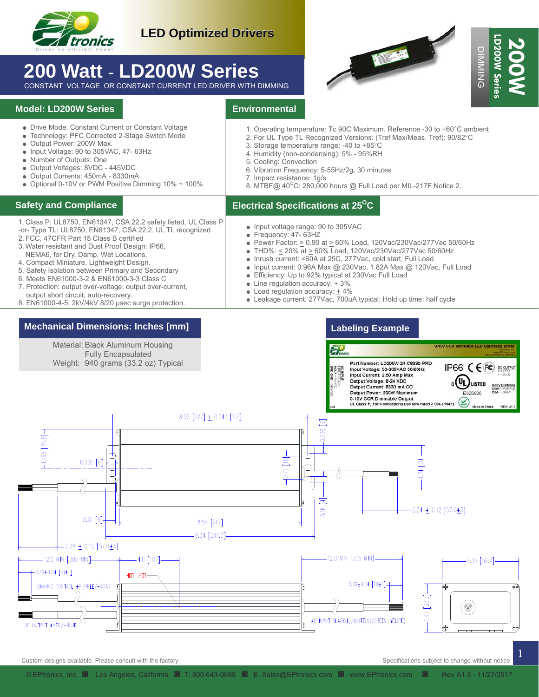

# **200 Watt** - **LD200W Series**

CONSTANT VOLTAGE OR CONSTANT CURRENT LED DRIVER WITH DIMMING

#### **Model: LD200W Series**

- Drive Mode: Constant Current or Constant Voltage
- Technology: PFC Corrected 2-Stage Switch Mode
- Output Power: 200W Max.
- Input Voltage: 90 to 305VAC, 47- 63Hz
- Number of Outputs: One
- Output Voltages: 8VDC 445VDC
- Output Currents: 450mA 8330mA
- $\bullet$  Optional 0-10V or PWM Positive Dimming 10%  $\sim$  100%

- 1. Class P: UL8750, EN61347, CSA 22.2 safety listed, UL Class P
- -or- Type TL: UL8750, EN61347, CSA 22.2, UL TL recognized
- 2. FCC, 47CFR Part 15 Class B certified
- 3. Water resistant and Dust Proof Design: IP66, NEMA6, for Dry, Damp, Wet Locations.
- 4. Compact Miniature, Lightweight Design.
- 5. Safety Isolation between Primary and Secondary
- 6. Meets EN61000-3-2 & EN61000-3-3 Class C
- 7. Protection: output over-voltage, output over-current,
- output short circuit, auto-recovery. 8. EN61000-4-5: 2kV/4kV 8/20 µsec surge protection.

#### **Mechanical Dimensions: Inches [mm]**

### **Environmental**

- 1. Operating temperature: Tc 90C Maximum. Reference -30 to +60°C ambient
- 2. For UL Type TL Recognized Versions: (Tref Max/Meas. Tref): 90/82°C
- 3. Storage temperature range: -40 to +85°C
- 4. Humidity (non-condensing): 5% 95%RH
- 5. Cooling: Convection
- 6. Vibration Frequency: 5-55Hz/2g, 30 minutes
- 7. Impact resistance: 1g/s
- 8. MTBF@  $40^{\circ}$ C: 280,000 hours @ Full Load per MIL-217F Notice 2.

#### **Electrical Specifications at 25O Safety and Compliance C**

- Input voltage range: 90 to 305VAC
	- Frequency: 47- 63HZ
	- Power Factor:  $≥$  0.90 at  $≥$  60% Load, 120Vac/230Vac/277Vac 50/60Hz
- THD%: < 20% at > 60% Load, 120Vac/230Vac/277Vac 50/60Hz
- Inrush current: <60A at 25C, 277Vac, cold start, Full Load
- Input current: 0.96A Max @ 230Vac, 1.82A Max @ 120Vac, Full Load
- Efficiency: Up to 92% typical at 230Vac Full Load
- $\bullet$  Line regulation accuracy:  $+3\%$
- $\bullet$  Load regulation accuracy:  $\pm$  4%
- Leakage current: 277Vac, 700uA typical; Hold up time: half cycle

### **Labeling Example**



1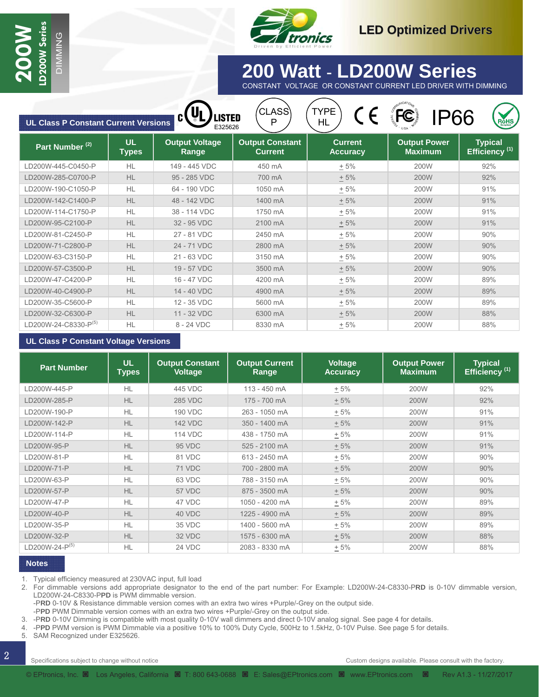

## **30 Watt - LD30W Series 200 Watt** - **LD200W Series** CONSTANT VOLTAGE OR CONSTANT CURRENT LED DRIVER WITH DIMMING

| <b>UL Class P Constant Current Versions</b> |                           | <b>.Isted</b><br>E325626       | CLASS<br>Ρ                               | <b>TYPE</b><br>HL                 | IP66                                  | ROHS                                        |
|---------------------------------------------|---------------------------|--------------------------------|------------------------------------------|-----------------------------------|---------------------------------------|---------------------------------------------|
| Part Number <sup>(2)</sup>                  | <b>UL</b><br><b>Types</b> | <b>Output Voltage</b><br>Range | <b>Output Constant</b><br><b>Current</b> | <b>Current</b><br><b>Accuracy</b> | <b>Output Power</b><br><b>Maximum</b> | <b>Typical</b><br>Efficiency <sup>(1)</sup> |
| LD200W-445-C0450-P                          | <b>HL</b>                 | 149 - 445 VDC                  | 450 mA                                   | $+5%$                             | 200W                                  | 92%                                         |
| LD200W-285-C0700-P                          | <b>HL</b>                 | 95 - 285 VDC                   | 700 mA                                   | $+5%$                             | 200W                                  | 92%                                         |
| LD200W-190-C1050-P                          | HL                        | 64 - 190 VDC                   | 1050 mA                                  | ± 5%                              | 200W                                  | 91%                                         |
| LD200W-142-C1400-P                          | <b>HL</b>                 | 48 - 142 VDC                   | 1400 mA                                  | $+5%$                             | 200W                                  | 91%                                         |
| LD200W-114-C1750-P                          | HL                        | 38 - 114 VDC                   | 1750 mA                                  | $+5%$                             | 200W                                  | 91%                                         |
| LD200W-95-C2100-P                           | HL                        | 32 - 95 VDC                    | 2100 mA                                  | $+5%$                             | 200W                                  | 91%                                         |
| LD200W-81-C2450-P                           | <b>HL</b>                 | 27 - 81 VDC                    | 2450 mA                                  | ± 5%                              | 200W                                  | 90%                                         |
| LD200W-71-C2800-P                           | HL                        | 24 - 71 VDC                    | 2800 mA                                  | ± 5%                              | 200W                                  | 90%                                         |
| LD200W-63-C3150-P                           | HL                        | 21 - 63 VDC                    | 3150 mA                                  | ± 5%                              | 200W                                  | 90%                                         |
| LD200W-57-C3500-P                           | HL                        | 19 - 57 VDC                    | 3500 mA                                  | $+5%$                             | 200W                                  | 90%                                         |
| LD200W-47-C4200-P                           | HL                        | 16 - 47 VDC                    | 4200 mA                                  | $+5%$                             | 200W                                  | 89%                                         |
| LD200W-40-C4900-P                           | HL                        | 14 - 40 VDC                    | 4900 mA                                  | $+5%$                             | 200W                                  | 89%                                         |
| LD200W-35-C5600-P                           | <b>HL</b>                 | 12 - 35 VDC                    | 5600 mA                                  | $+5%$                             | 200W                                  | 89%                                         |
| LD200W-32-C6300-P                           | <b>HL</b>                 | 11 - 32 VDC                    | 6300 mA                                  | ± 5%                              | 200W                                  | 88%                                         |
| LD200W-24-C8330-P <sup>(5)</sup>            | <b>HL</b>                 | 8 - 24 VDC                     | 8330 mA                                  | $+5%$                             | 200W                                  | 88%                                         |

MING

#### **UL Class P Constant Voltage Versions**

| <b>Part Number</b>         | <b>UL</b><br>Types | <b>Output Constant</b><br><b>Voltage</b> | <b>Output Current</b><br>Range | <b>Voltage</b><br><b>Accuracy</b> | <b>Output Power</b><br><b>Maximum</b> | <b>Typical</b><br>Efficiency <sup>(1)</sup> |
|----------------------------|--------------------|------------------------------------------|--------------------------------|-----------------------------------|---------------------------------------|---------------------------------------------|
| D200W-445-P                | HL                 | 445 VDC                                  | 113 - 450 mA                   | $+5%$                             | 200W                                  | 92%                                         |
| LD200W-285-P               | <b>HL</b>          | <b>285 VDC</b>                           | 175 - 700 mA                   | $+5%$                             | 200W                                  | 92%                                         |
| LD200W-190-P               | HL                 | <b>190 VDC</b>                           | 263 - 1050 mA                  | $+5%$                             | 200W                                  | 91%                                         |
| LD200W-142-P               | <b>HL</b>          | <b>142 VDC</b>                           | 350 - 1400 mA                  | $+5%$                             | 200W                                  | 91%                                         |
| D200W-114-P                | <b>HL</b>          | <b>114 VDC</b>                           | 438 - 1750 mA                  | $+5%$                             | 200W                                  | 91%                                         |
| LD200W-95-P                | <b>HL</b>          | 95 VDC                                   | 525 - 2100 mA                  | $+5%$                             | 200W                                  | 91%                                         |
| D200W-81-P                 | HL                 | 81 VDC                                   | 613 - 2450 mA                  | $+5%$                             | 200W                                  | 90%                                         |
| D200W-71-P                 | <b>HL</b>          | 71 VDC                                   | 700 - 2800 mA                  | $+5%$                             | 200W                                  | 90%                                         |
| D200W-63-P                 | <b>HL</b>          | 63 VDC                                   | 788 - 3150 mA                  | $+5%$                             | 200W                                  | 90%                                         |
| LD200W-57-P                | <b>HL</b>          | 57 VDC                                   | 875 - 3500 mA                  | $+5%$                             | 200W                                  | 90%                                         |
| LD200W-47-P                | <b>HL</b>          | 47 VDC                                   | 1050 - 4200 mA                 | $+5%$                             | 200W                                  | 89%                                         |
| LD200W-40-P                | <b>HL</b>          | 40 VDC                                   | 1225 - 4900 mA                 | $+5%$                             | 200W                                  | 89%                                         |
| D200W-35-P                 | <b>HL</b>          | 35 VDC                                   | 1400 - 5600 mA                 | $+5%$                             | 200W                                  | 89%                                         |
| LD200W-32-P                | <b>HL</b>          | 32 VDC                                   | 1575 - 6300 mA                 | $+5%$                             | 200W                                  | 88%                                         |
| LD200W-24-P <sup>(5)</sup> | <b>HL</b>          | 24 VDC                                   | 2083 - 8330 mA                 | $+5%$                             | 200W                                  | 88%                                         |

#### **Notes**

1. Typical efficiency measured at 230VAC input, full load

2. For dimmable versions add appropriate designator to the end of the part number: For Example: LD200W-24-C8330-P**RD** is 0-10V dimmable version, LD200W-24-C8330-P**PD** is PWM dimmable version.

-P**RD** 0-10V & Resistance dimmable version comes with an extra two wires +Purple/-Grey on the output side.

-P**PD** PWM Dimmable version comes with an extra two wires +Purple/-Grey on the output side.

3. -P**RD** 0-10V Dimming is compatible with most quality 0-10V wall dimmers and direct 0-10V analog signal. See page 4 for details.

4. -P**PD** PWM version is PWM Dimmable via a positive 10% to 100% Duty Cycle, 500Hz to 1.5kHz, 0-10V Pulse. See page 5 for details.

5. SAM Recognized under E325626.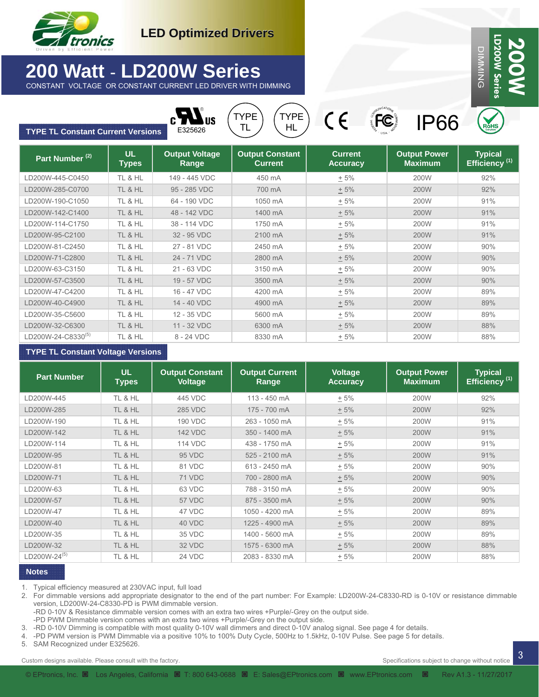

# **200 Watt** - **LD200W Series**

CONSTANT VOLTAGE OR CONSTANT CURRENT LED DRIVER WITH DIMMING



Part Number <sup>(2)</sup> **Quality 1 Cutter UP Output Voltage Range Output Constant Current Current Accuracy Output Power Maximum Typical Efficiency (1)** LD200W-445-C0450 | TL & HL | 149 - 445 VDC | 450 mA |  $\pm$  5% | 200W | 92% LD200W-285-C0700 TL & HL 95 - 285 VDC 700 mA  $+5\%$  200W 92% LD200W-190-C1050 | TL&HL | 64 - 190 VDC | 1050 mA | <u>+</u> 5% | 200W | 91% LD200W-142-C1400 | TL & HL | 48 - 142 VDC | 1400 mA |  $\pm$  5% | 200W | 91% LD200W-114-C1750 | TL & HL | 38 - 114 VDC | 1750 mA | + 5% | 200W | 91% LD200W-95-C2100 32 - 95 VDC 2100 mA + 5% 200W 91% LD200W-81-C2450 | TL & HL | 27 - 81 VDC | 2450 mA | + 5% | 200W | 90% LD200W-71-C2800 | TL & HL | 24 - 71 VDC | 2800 mA |  $\pm$  5% | 200W | 90% LD200W-63-C3150 | TL & HL | 21 - 63 VDC | 3150 mA | + 5% | 200W | 90% LD200W-57-C3500 | TL & HL | 19 - 57 VDC | 3500 mA | + 5% | 200W | 90% LD200W-47-C4200 | TL & HL | 16 - 47 VDC | 4200 mA | + 5% | 200W | 89% LD200W-40-C4900 TL & HL 14 - 40 VDC 4900 mA <u>+</u> 5% 200W 89% LD200W-35-C5600 | TL & HL | 12 - 35 VDC | 5600 mA |  $\pm$  5% | 200W | 89%  $\text{LD200W-24-C8330}^{(5)}$  TL & HL 8 - 24 VDC 8330 mA + 5% 200W 88% LD200W-32-C6300 TL & HL 11 - 32 VDC 6300 mA  $\pm$  5% 200W 88% **UL Types**  TL & HL TL & HL TL & HL TL & HL TL & HL TL & HL TL & HL TL & HL TL & HL TL & HL TL & HL TL & HL TL & HL TL & HL TL & HL **TYPE TL Constant Current Versions CONS** US (TYPE) CE (FC) IP66 HL TYPE TL

#### **TYPE TL Constant Voltage Versions**

| <b>Part Number</b>       | <b>UL</b><br><b>Types</b> | <b>Output Constant</b><br><b>Voltage</b> | <b>Output Current</b><br>Range | <b>Voltage</b><br><b>Accuracy</b> | <b>Output Power</b><br><b>Maximum</b> | <b>Typical</b><br>Efficiency <sup>(1)</sup> |
|--------------------------|---------------------------|------------------------------------------|--------------------------------|-----------------------------------|---------------------------------------|---------------------------------------------|
| D200W-445                | TL & HL                   | 445 VDC                                  | 113 - 450 mA                   | $+5%$                             | 200W                                  | 92%                                         |
| LD200W-285               | TL & HL                   | <b>285 VDC</b>                           | 175 - 700 mA                   | $+5%$                             | 200W                                  | 92%                                         |
| LD200W-190               | TL & HL                   | 190 VDC                                  | 263 - 1050 mA                  | $+5%$                             | 200W                                  | 91%                                         |
| LD200W-142               | TL & HL                   | <b>142 VDC</b>                           | 350 - 1400 mA                  | $+5%$                             | 200W                                  | 91%                                         |
| D200W-114                | TL & HL                   | <b>114 VDC</b>                           | 438 - 1750 mA                  | $+5%$                             | 200W                                  | 91%                                         |
| LD200W-95                | TL & HL                   | 95 VDC                                   | 525 - 2100 mA                  | $+5%$                             | 200W                                  | 91%                                         |
| D200W-81                 | TL & HL                   | 81 VDC                                   | 613 - 2450 mA                  | $+5%$                             | 200W                                  | 90%                                         |
| LD200W-71                | TL & HL                   | 71 VDC                                   | 700 - 2800 mA                  | $+5%$                             | 200W                                  | 90%                                         |
| LD200W-63                | TL & HL                   | 63 VDC                                   | 788 - 3150 mA                  | $+5%$                             | 200W                                  | 90%                                         |
| LD200W-57                | TL & HL                   | 57 VDC                                   | 875 - 3500 mA                  | $+5%$                             | 200W                                  | 90%                                         |
| LD200W-47                | TL & HL                   | 47 VDC                                   | 1050 - 4200 mA                 | $+5%$                             | 200W                                  | 89%                                         |
| LD200W-40                | TL & HL                   | 40 VDC                                   | 1225 - 4900 mA                 | $+5%$                             | 200W                                  | 89%                                         |
| LD200W-35                | TL & HL                   | 35 VDC                                   | 1400 - 5600 mA                 | $+5%$                             | 200W                                  | 89%                                         |
| LD200W-32                | TL & HL                   | 32 VDC                                   | 1575 - 6300 mA                 | $+5%$                             | 200W                                  | 88%                                         |
| _D200W-24 <sup>(5)</sup> | TL & HL                   | 24 VDC                                   | 2083 - 8330 mA                 | $+5%$                             | 200W                                  | 88%                                         |

#### **Notes**

1. Typical efficiency measured at 230VAC input, full load

2. For dimmable versions add appropriate designator to the end of the part number: For Example: LD200W-24-C8330-RD is 0-10V or resistance dimmable version, LD200W-24-C8330-PD is PWM dimmable version.

-RD 0-10V & Resistance dimmable version comes with an extra two wires +Purple/-Grey on the output side.

-PD PWM Dimmable version comes with an extra two wires +Purple/-Grey on the output side.

3. -RD 0-10V Dimming is compatible with most quality 0-10V wall dimmers and direct 0-10V analog signal. See page 4 for details.

4. -PD PWM version is PWM Dimmable via a positive 10% to 100% Duty Cycle, 500Hz to 1.5kHz, 0-10V Pulse. See page 5 for details.

5. SAM Recognized under E325626.

Superintensial and the second with the factory.<br>
Specifications subject to change without notice and the second with the factory.

Specifications subject to change without notice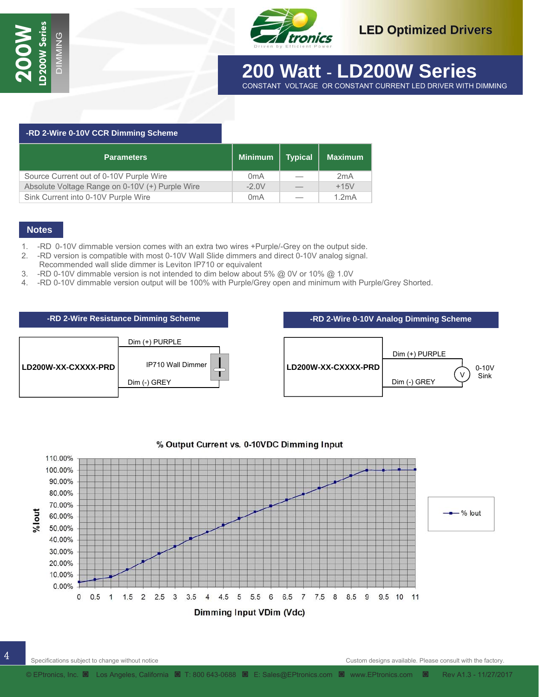

## **30 Watt - LD30W Series 200 Watt** - **LD200W Series** CONSTANT VOLTAGE OR CONSTANT CURRENT LED DRIVER WITH DIMMING

 **-RD 2-Wire 0-10V CCR Dimming Scheme**  Parameters **Minimum | Typical | Maximum** Source Current out of 0-10V Purple Wire 0mA – 2mA Absolute Voltage Range on 0-10V (+) Purple Wire  $\vert$  -2.0V  $\vert$  - +15V Sink Current into 0-10V Purple Wire **1.2mA**  $\vert$  0mA  $\vert$  - 1.2mA

#### **Notes**

- 1. -RD 0-10V dimmable version comes with an extra two wires +Purple/-Grey on the output side.
- 2. -RD version is compatible with most 0-10V Wall Slide dimmers and direct 0-10V analog signal.
- Recommended wall slide dimmer is Leviton IP710 or equivalent
- 3. -RD 0-10V dimmable version is not intended to dim below about 5% @ 0V or 10% @ 1.0V
- 4. -RD 0-10V dimmable version output will be 100% with Purple/Grey open and minimum with Purple/Grey Shorted.

MING



| -RD 2-Wire 0-10V Analog Dimming Scheme |                                 |  |  |  |  |  |
|----------------------------------------|---------------------------------|--|--|--|--|--|
|                                        |                                 |  |  |  |  |  |
|                                        | Dim (+) PURPLE                  |  |  |  |  |  |
| LD200W-XX-CXXXX-PRD                    | $0-10V$<br>Sink<br>Dim (-) GREY |  |  |  |  |  |



#### % Output Current vs. 0-10VDC Dimming Input

Specifications subject to change without notice

4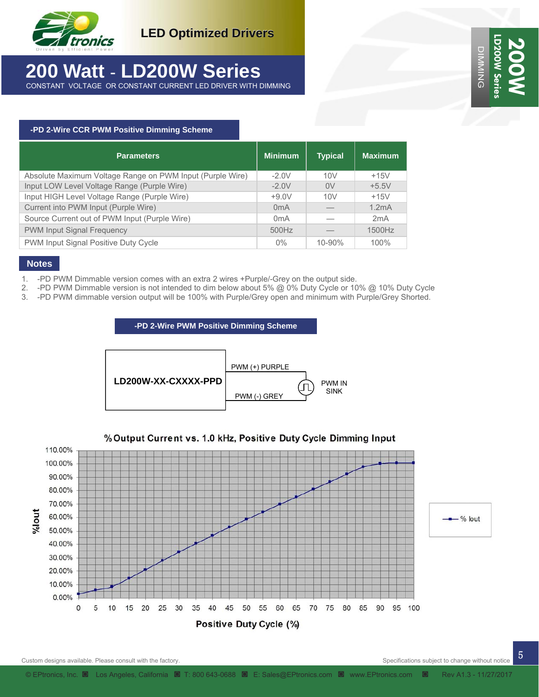

## **200 Watt** - **LD200W Series** CONSTANT VOLTAGE OR CONSTANT CURRENT LED DRIVER WITH DIMMING

**LD200W Series D200W Se 200W DIMMING** DIMMING

#### **-PD 2-Wire CCR PWM Positive Dimming Scheme**

| <b>Parameters</b>                                         | <b>Minimum</b>   | <b>Typical</b> | <b>Maximum</b> |
|-----------------------------------------------------------|------------------|----------------|----------------|
| Absolute Maximum Voltage Range on PWM Input (Purple Wire) | $-2.0V$          | 10V            | $+15V$         |
| Input LOW Level Voltage Range (Purple Wire)               | $-2.0V$          | 0V             | $+5.5V$        |
| Input HIGH Level Voltage Range (Purple Wire)              | $+9.0V$          | 10V            | $+15V$         |
| Current into PWM Input (Purple Wire)                      | 0 <sub>m</sub> A |                | 1.2mA          |
| Source Current out of PWM Input (Purple Wire)             | 0 <sub>m</sub> A |                | 2mA            |
| <b>PWM Input Signal Frequency</b>                         | 500Hz            |                | 1500Hz         |
| PWM Input Signal Positive Duty Cycle                      | $0\%$            | 10-90%         | 100%           |

#### **Notes**

- 1. -PD PWM Dimmable version comes with an extra 2 wires +Purple/-Grey on the output side.
- 2. -PD PWM Dimmable version is not intended to dim below about 5% @ 0% Duty Cycle or 10% @ 10% Duty Cycle
- 3. -PD PWM dimmable version output will be 100% with Purple/Grey open and minimum with Purple/Grey Shorted.

#### **-PD 2-Wire PWM Positive Dimming Scheme**





Positive Duty Cycle (%)

Specifications subject to change without notice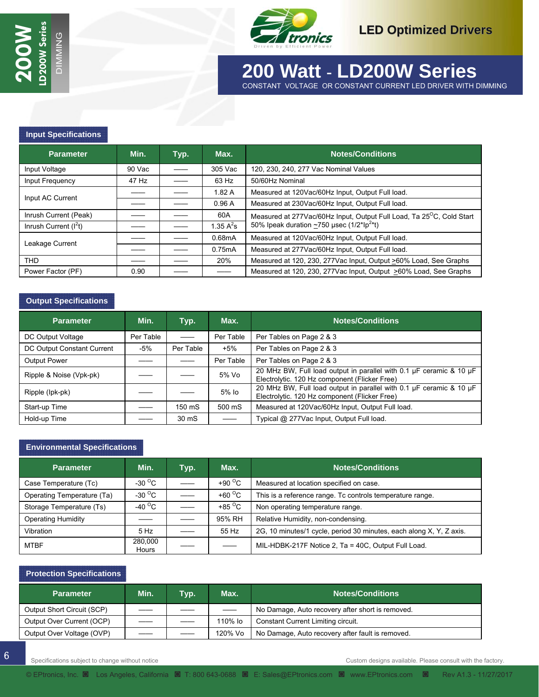

 **30 Watt - LD30W Series 200 Watt** - **LD200W Series** 

CONSTANT VOLTAGE OR CONSTANT CURRENT LED DRIVER WITH DIMMING MING

#### **Input Specifications**

| <b>Parameter</b>       | Min.   | Typ. | Max.                          | <b>Notes/Conditions</b>                                                           |
|------------------------|--------|------|-------------------------------|-----------------------------------------------------------------------------------|
| Input Voltage          | 90 Vac |      | 305 Vac                       | 120, 230, 240, 277 Vac Nominal Values                                             |
| Input Frequency        | 47 Hz  |      | 63 Hz                         | 50/60Hz Nominal                                                                   |
| Input AC Current       |        |      | 1.82A                         | Measured at 120Vac/60Hz Input, Output Full load.                                  |
|                        |        |      | 0.96A                         | Measured at 230Vac/60Hz Input, Output Full load.                                  |
| Inrush Current (Peak)  |        |      | 60A                           | Measured at 277Vac/60Hz Input, Output Full Load, Ta 25 <sup>o</sup> C, Cold Start |
| Inrush Current $(I2t)$ |        |      | 1.35 $\mathsf{A}^2\mathsf{s}$ | 50% Ipeak duration $\sim$ 750 µsec (1/2*Ip <sup>2*</sup> t)                       |
| Leakage Current        |        |      | 0.68mA                        | Measured at 120Vac/60Hz Input, Output Full load.                                  |
|                        |        |      | 0.75mA                        | Measured at 277Vac/60Hz Input, Output Full load.                                  |
| <b>THD</b>             |        |      | 20%                           | Measured at 120, 230, 277Vac Input, Output >60% Load, See Graphs                  |
| Power Factor (PF)      | 0.90   |      |                               | Measured at 120, 230, 277 Vac Input, Output >60% Load, See Graphs                 |

#### **Output Specifications**

| <b>Parameter</b>           | Min.      | Typ.      | Max.                     | <b>Notes/Conditions</b>                                                                                              |
|----------------------------|-----------|-----------|--------------------------|----------------------------------------------------------------------------------------------------------------------|
| DC Output Voltage          | Per Table |           | Per Table                | Per Tables on Page 2 & 3                                                                                             |
| DC Output Constant Current | -5%       | Per Table | $+5%$                    | Per Tables on Page 2 & 3                                                                                             |
| <b>Output Power</b>        |           |           | Per Table                | Per Tables on Page 2 & 3                                                                                             |
| Ripple & Noise (Vpk-pk)    |           |           | 5% Vo                    | 20 MHz BW, Full load output in parallel with 0.1 µF ceramic & 10 µF<br>Electrolytic. 120 Hz component (Flicker Free) |
| Ripple (lpk-pk)            |           |           | 5% lo                    | 20 MHz BW, Full load output in parallel with 0.1 µF ceramic & 10 µF<br>Electrolytic. 120 Hz component (Flicker Free) |
| Start-up Time              |           | 150 mS    | 500 mS                   | Measured at 120Vac/60Hz Input, Output Full load.                                                                     |
| Hold-up Time               |           | 30 mS     | $\overline{\phantom{0}}$ | Typical @ 277Vac Input, Output Full load.                                                                            |

#### **Environmental Specifications**

| <b>Parameter</b>           | Min.                     | Typ. | Max.                     | <b>Notes/Conditions</b>                                             |
|----------------------------|--------------------------|------|--------------------------|---------------------------------------------------------------------|
| Case Temperature (Tc)      | -30 $^{\circ}$ C         |      | +90 $\degree$ C          | Measured at location specified on case.                             |
| Operating Temperature (Ta) | -30 $\mathrm{^{\circ}C}$ |      | +60 $\degree$ C          | This is a reference range. To controls temperature range.           |
| Storage Temperature (Ts)   | -40 $^{\circ}$ C         |      | +85 $\mathrm{^{\circ}C}$ | Non operating temperature range.                                    |
| <b>Operating Humidity</b>  |                          |      | 95% RH                   | Relative Humidity, non-condensing.                                  |
| Vibration                  | 5 Hz                     |      | 55 Hz                    | 2G, 10 minutes/1 cycle, period 30 minutes, each along X, Y, Z axis. |
| <b>MTBF</b>                | 280.000<br>Hours         |      |                          | MIL-HDBK-217F Notice 2, Ta = 40C, Output Full Load.                 |

#### **Protection Specifications**

| <b>Parameter</b>           | Min. | Typ. | Max.    | <b>Notes/Conditions</b>                          |
|----------------------------|------|------|---------|--------------------------------------------------|
| Output Short Circuit (SCP) |      |      |         | No Damage, Auto recovery after short is removed. |
| Output Over Current (OCP)  |      |      | 110% lo | Constant Current Limiting circuit.               |
| Output Over Voltage (OVP)  |      |      | 120% Vo | No Damage, Auto recovery after fault is removed. |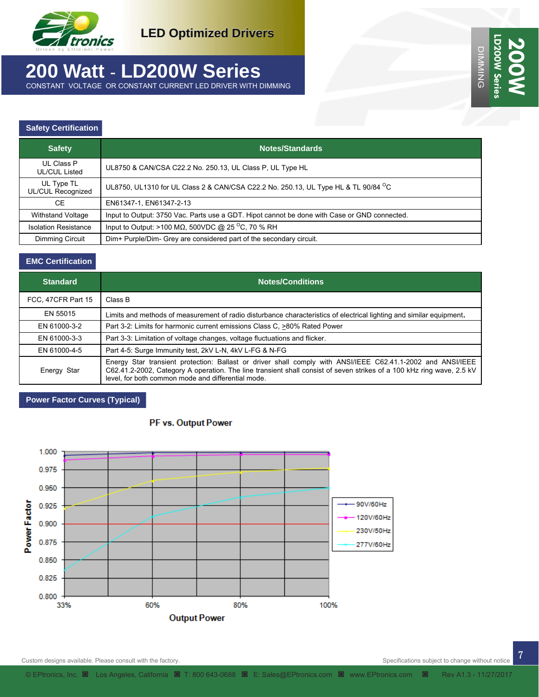

# **200 Watt** - **LD200W Series**

CONSTANT VOLTAGE OR CONSTANT CURRENT LED DRIVER WITH DIMMING

#### **Safety Certification**

| <b>Safety</b>                   | <b>Notes/Standards</b>                                                                         |
|---------------------------------|------------------------------------------------------------------------------------------------|
| UL Class P<br>UL/CUL Listed     | UL8750 & CAN/CSA C22.2 No. 250.13, UL Class P, UL Type HL                                      |
| UL Type TL<br>UL/CUL Recognized | UL8750, UL1310 for UL Class 2 & CAN/CSA C22.2 No. 250.13, UL Type HL & TL 90/84 <sup>O</sup> C |
| <b>CE</b>                       | EN61347-1, EN61347-2-13                                                                        |
| <b>Withstand Voltage</b>        | Input to Output: 3750 Vac. Parts use a GDT. Hipot cannot be done with Case or GND connected.   |
| <b>Isolation Resistance</b>     | Input to Output: >100 M $\Omega$ , 500VDC @ 25 <sup>o</sup> C, 70 % RH                         |
| Dimming Circuit                 | Dim+ Purple/Dim- Grey are considered part of the secondary circuit.                            |

#### **EMC Certification**

| <b>Standard</b>    | <b>Notes/Conditions</b>                                                                                                                                                                                                                                                                    |  |  |  |  |  |
|--------------------|--------------------------------------------------------------------------------------------------------------------------------------------------------------------------------------------------------------------------------------------------------------------------------------------|--|--|--|--|--|
| FCC, 47CFR Part 15 | Class B                                                                                                                                                                                                                                                                                    |  |  |  |  |  |
| EN 55015           | Limits and methods of measurement of radio disturbance characteristics of electrical lighting and similar equipment.                                                                                                                                                                       |  |  |  |  |  |
| EN 61000-3-2       | Part 3-2: Limits for harmonic current emissions Class C, >80% Rated Power                                                                                                                                                                                                                  |  |  |  |  |  |
| EN 61000-3-3       | Part 3-3: Limitation of voltage changes, voltage fluctuations and flicker.                                                                                                                                                                                                                 |  |  |  |  |  |
| EN 61000-4-5       | Part 4-5: Surge Immunity test, 2kV L-N, 4kV L-FG & N-FG                                                                                                                                                                                                                                    |  |  |  |  |  |
| Energy Star        | Energy Star transient protection: Ballast or driver shall comply with ANSI/IEEE C62.41.1-2002 and ANSI/IEEE<br>C62.41.2-2002, Category A operation. The line transient shall consist of seven strikes of a 100 kHz ring wave, 2.5 kV<br>level, for both common mode and differential mode. |  |  |  |  |  |

#### **Power Factor Curves (Typical)**



#### PF vs. Output Power

Specifications subject to change without notice

DIMMING **LD200W Series** 

D200W Serie **DIMMING** 

**200W**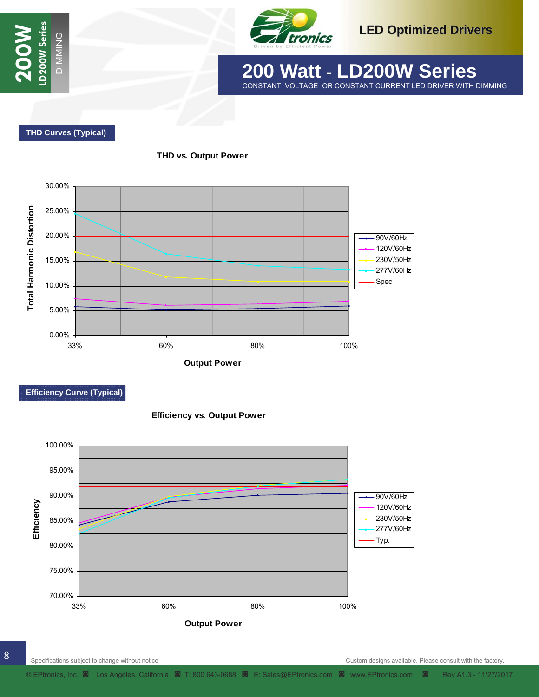



 **30 Watt - LD30W Series 200 Watt** - **LD200W Series** CONSTANT VOLTAGE OR CONSTANT CURRENT LED DRIVER WITH DIMMING

 **THD Curves (Typical)** 



**THD vs. Output Power**

MING

**Output Power**

#### **Efficiency Curve (Typical)**



**Efficiency vs. Output Power**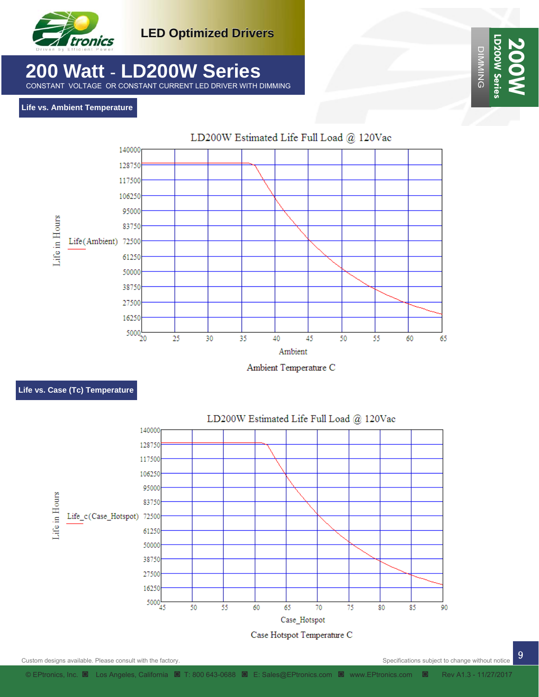

# **200 Watt** - **LD200W Series**

CONSTANT VOLTAGE OR CONSTANT CURRENT LED DRIVER WITH DIMMING

#### **Life vs. Ambient Temperature**



Ambient Temperature C

#### **Life vs. Case (Tc) Temperature**



9 Custom designs available. Please consult with the factory.

Specifications subject to change without notice

DIMMING **LD200W Series** 

D200W Serie **DIMMING** 

**200W**